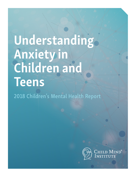# Understanding Anxiety in Children and Teens

2018 Children's Mental Health Report

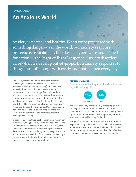# INTRODUCTION An Anxious World

Anxiety is normal and healthy. When we're presented with something dangerous in the world, our anxiety response protects us from danger. It makes us hyperaware and primed for action — the "fight or flight" response. Anxiety disorders arise when we develop out-of-proportion anxiety responses to things most of us cope with easily and that happen every day.

The core symptoms of anxiety are worry, difficulty tolerating uncertainty, an overactive response to perceived threats (including freezing) and avoidance. Some children avoid or become overly afraid of situations or objects that trigger fears, while others react with explosive fear and frustration. That behavior is often misread as anger or opposition. In youth with phobias or social anxiety disorder, their difficulties may be attributed to "shyness," with few people recognizing the severe distress they experience. Many young people don't realize that their overwhelming reactions may stem from a disorder that can be treated, rather than from a personal failing.

In the past 10 years, there has been increasing recognition of anxiety in young people by health care providers — one study found a 17% increase in anxiety disorder diagnosis.<sup>1</sup> Teens and their parents are recognizing that anxiety disorders can be serious and they are beginning to advocate for treatment at a level that far surpasses care-seeking a generation ago. Anxiety is the number one cause for concern at college counseling services.<sup>2</sup>

#### *Increase in diagnosis*

Health care provider diagnosis of anxiety disorders in youth under age 17



Are rates of anxiety disorders truly increasing, or is there growing recognition of the distress and impairment that anxiety causes? Is the increase in reported anxiety fueled by contemporary stresses, or is it a sign that youth today are more comfortable asking for help?

This year's Child Mind Institute Children's Mental Health Report looks at just how widespread child and adolescent anxiety disorders are, examines the impact of early risk factors including temperament, and describes effective treatments that are being accessed more frequently.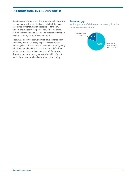# INTRODUCTION: AN ANXIOUS WORLD

Despite growing awareness, the proportion of youth who receive treatment is still the lowest of all of the major categories of mental health disorders — far below anxiety prevalence in the population.<sup>3</sup> At some point, 30% of children and adolescents will meet criteria for an anxiety disorder, yet 80% never get help.

Nearly 117 million youth worldwide have suffered from an anxiety disorder. Although approximately 10% of youth aged 6–17 have a current anxiety disorder, by early adulthood, nearly 20% will have functional difficulties related to anxiety in at least one area of life.<sup>4</sup> Anxiety disorders can impact every aspect of a child's life, but particularly their social and educational functioning.

#### *Treatment gap*

Eighty percent of children with anxiety disorder never receive treatment

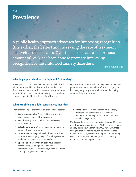# **ONE** Prevalence

A public health approach advocates for improving recognition (the earlier, the better) and increasing the rate of treatment of psychiatric disorders. Over the past decade an enormous amount of work has been done to promote improving recognition of the childhood anxiety disorders.

— John T. Walkup et al.

# Why do people talk about an "epidemic" of anxiety?

Anxiety disorders are the most common of all child and adolescent mental health disorders, both in the United States and around the world.<sup>5</sup> Untreated, many subtypes persist into adulthood.6 Whether anxiety is on the rise or is more frequently identified, there is widespread

concern. Even as more kids are diagnosed, many more go untreated because of a lack of outward signs, and because young people have a hard time identifying when anxiety is not normal.<sup>7</sup>

## What are child and adolescent anxiety disorders?

There are many types of anxiety in children and adolescents:

- **Separation anxiety:** When children are worried about being separated from caregivers.
- **Social anxiety:** When children are excessively self-conscious.
- **Selective mutism:** When children cannot speak in some settings, like at school.
- **Generalized anxiety:** When children worry about a wide variety of everyday things. Kids with generalized anxiety often struggle with perfectionism.
- **Specific phobias:** When children have excessive fear of particular things. This includes emetophobia, or fear of vomiting, which is common and impairing in young children.

**Panic disorder:** When children have sudden, unpredictable panic attacks that may cause feelings of impending death or doom, and heart attack–like symptoms.

Until recently, obsessive-compulsive disorder (OCD) and post-traumatic stress disorder (PTSD) were classified as anxiety disorders. Children with OCD have unwanted thoughts that they try to neutralize with ritualized behaviors. PTSD symptoms develop after a disturbing event and include detachment, difficulty sleeping, irritability and reliving the event.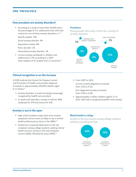## ONE: PREVALENCE

## How prevalent are anxiety disorders?

■ According to a study of more than 10,000 teens, the percentage of U.S. adolescents who will meet criteria for one of these anxiety disorders is: 8, 9

Specific phobia: 13%

Social anxiety disorder: 9%

Separation anxiety: 8%

Panic disorder: 2%

Generalized anxiety disorder: 2%

� Current anxiety worldwide in children and adolescents is 7%, according to a 2015 meta-analysis of 41 studies from 27 countries.10

#### *Prevalence*

Young people who meet criteria for a variety of anxiety disorders



#### Clinical recognition is on the increase

A 2018 study by the Centers for Disease Control and Prevention of health care provider diagnosis of anxiety in approximately 100,000 children aged 0–17 shows: $11$ 

- � Anxiety disorders in youth are being increasingly recognized by health care providers.
- In youth with disorders, anxiety is mild for 48%, moderate for 37% and severe for 15%.
- � From 2007 to 2012: Current anxiety diagnoses increased from 3.5% to 4.1%.

Ever diagnosed anxiety increased from 5.5% to 6.4%.

� Approximately 2 million children aged 6–17 in 2011–2012 had a recognized problem with anxiety.

#### Anxiety is out in the open

- � High school students today have more anxiety symptoms and are twice as likely to see a mental health professional as teens in the 1980s.<sup>12</sup>
- Anxiety has surpassed depression as the top complaint among college students seeking mental health services; anxiety is the most frequent concern (48%), followed by stress (39%).<sup>13</sup>

#### *Mental health in college*

Anxiety is the top concern among college students seeking counseling services

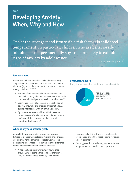# **TWO** Developing Anxiety: When, Why and How

One of the strongest and first visible risk factors is childhood temperament. In particular, children who are behaviorally inhibited or temperamentally shy are more likely to exhibit signs of anxiety by adolescence.

— Koraly Perez-Edgar et al.

#### **Temperament**

Recent research has solidified the link between early temperament and later behavioral patterns. Behavioral inhibition (BI) in toddlerhood predicts social withdrawal in early childhood.<sup>14, 15, 16, 17</sup>

- The 15% of adolescents who rate themselves the most behaviorally inhibited are five times more likely than less inhibited peers to develop social anxiety.<sup>18</sup>
- � Sixty-one percent of adolescents identified as BI at age 2 showed signs of social anxiety at age 13, during interactions with an unfamiliar adult.<sup>19</sup>
- � By mid-adolescence, children with BI have four times the rate of anxiety of other children, evident in diagnostic interviews as well as through parent- and self-report.<sup>20, 21</sup>

## When is shyness pathological?

Many children whose anxiety causes them severe distress, like those with selective mutism, are dismissed as "just shy." At the same time, people worry about medicalizing all shyness. How can we tell the difference between regular shyness and clinical anxiety?

■ A nationally representative study found that around 50% of teens either consider themselves "shy" or are described as shy by their parents.

#### *Behavioral inhibition*

Early temperament predicts later social anxiety



- � However, only 12% of those shy adolescents are impaired enough to meet criteria for social anxiety disorder.<sup>22</sup>
- This suggests that a wide range of behavior and temperament is typical in this population.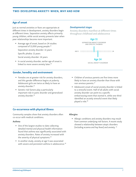# TWO: DEVELOPING ANXIETY: WHEN, WHY AND HOW

# Age of onset

Just as normal anxieties or fears are appropriate at different times in development, anxiety disorders begin at different times. Separation anxiety affects primarily young children, while social anxiety presents later when peer relationships become more important.

■ Average age of onset, based on 24 studies composed of 11,000 young people:<sup>23</sup> Separation anxiety disorder: 11 years

Specific phobia: 11 years

Social anxiety disorder: 14 years

� In social anxiety disorder, earlier age of onset is linked to more severe anxiety later.<sup>24</sup>

#### Gender, heredity and environment

- � Females are at greater risk for anxiety disorders, and this gender difference begins at puberty. Adolescent girls are twice as likely to have an anxiety disorder.<sup>25</sup>
- � Genetic risk factors play a particularly important role in panic disorder and generalized anxiety disorder.<sup>26</sup>

#### *Developmental stages*

Anxiety disorders manifest at different times throughout childhood and adolescence



- � Children of anxious parents are five times more likely to have an anxiety disorder than those with non-anxious parents.27
- � Adolescent onset of social anxiety disorder is linked to a stressful event. Half of all adults with social anxiety disorder can point to a specific embarrassing event that started it, while one-third identified an acutely stressful event that likely played a role.<sup>28</sup>

# Co-occurrence with physical illness

Community samples show that anxiety disorders often co-occur with medical conditions.

#### Asthma

- One of the largest studies to date collecting detailed mental and physical health information found that asthma was significantly associated with anxiety disorders. Rates of anxiety increased with the severity of physical symptoms.<sup>29</sup>
- In another study, anxiety at age 5 was associated with severe and persistent asthma in adolescence.<sup>30</sup>

#### Allergies

■ Allergic conditions and anxiety disorders may result from common underlying risk factors. A recent study showed a relationship between atopic disorders (including eczema and hay fever) and anxiety. 31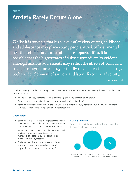# THREE Anxiety Rarely Occurs Alone

Whilst it is possible that high levels of anxiety during childhood and adolescence may place young people at risk of later mental health problems and constrained life opportunities, it is also possible that the higher rates of subsequent adversity evident amongst anxious adolescents may reflect the effects of comorbid psychiatric symptomatology or family risk factors that encourage both the development of anxiety and later life-course adversity.

— Woodward et al.

Childhood anxiety disorders are strongly linked to increased risk for later depression, anxiety, behavior problems and substance abuse.

- $\blacksquare$  Adults with anxiety disorders report experiencing "disturbing anxiety" as children.<sup>32</sup>
- $\blacksquare$  Depression and eating disorders often co-occur with anxiety disorders.<sup>33</sup>
- � Youth anxiety increases risk of educational underachievement in young adults and functional impairment in areas like health, social relationships or work in adulthood.<sup>34, 35</sup>

#### Depression

- � Social anxiety disorder has the highest correlation to later depression: twice that of other anxiety disorders and three times that of youth with no anxiety.<sup>36</sup>
- � When adolescents have depression alongside social anxiety, it is strongly associated with more suicidal ideation, suicide attempts and more depressive symptoms.
- � Social anxiety disorder with onset in childhood and adolescence leads to earlier onset of depression and poor social functioning.37

#### *Risk of depression*

Youth with social anxiety disorder are more likely to become depressed later

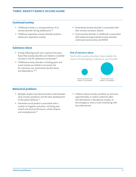# THREE: ANXIETY RARELY OCCURS ALONE

# Continued anxiety

- � Childhood anxiety is a strong predictor of an anxiety disorder during adolescence.<sup>38</sup>
- Childhood separation anxiety disorder predicts adolescent separation anxiety.
- � Generalized anxiety disorder is associated with later anxiety and panic attacks.
- � Social anxiety disorder in childhood is associated with adolescent generalized anxiety disorder, continued social anxiety and ADHD.

# Substance abuse

- � A study following youth over a period of 14 years found that anxiety disorders are linked to a twofold increase in risk for substance use disorder.<sup>39</sup>
- � Childhood anxiety disorders including panic and social anxiety are linked to increased risk for substance use, particularly alcohol abuse and dependence.<sup>40, 41</sup>

#### *Risk of substance abuse*

Youth with anxiety disorders have double the chance of developing a substance use disorder





YOUTH WITH AN ANXIETY DISORDER

# Behavioral problems

- � Multiple studies have demonstrated a link between early anxiety symptoms and the later development of disruptive behavior.<sup>42</sup>
- � Untreated social phobia is associated with a number of negative outcomes, including poor school and work performance, school dropout and unemployment.<sup>43</sup>
- � Children whose anxiety manifests as tantrums, oppositionality or violent outbursts often find themselves in disciplinary trouble, at the emergency room or even interfacing with law enforcement.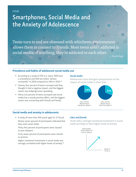# Smartphones, Social Media and the Anxiety of Adolescence

Teens turn to and are obsessed with whichever environment allows them to connect to friends. Most teens aren't addicted to social media; if anything, they're addicted to each other.

— Danah Boyd

## Prevalence and habits of adolescent social media use

- According to a study of 750 U.S. teens, 95% have a smartphone and 45% are online "almost constantly" in 2018 compared to 24% in 2014.<sup>44</sup>
- Twenty-four percent of teens surveyed said they thought it had a negative impact, and the biggest reason was bullying/rumor spreading.
- � Thirty-one percent of teens surveyed said social media has a mostly positive effect, and the biggest reason was connecting with friends and family.

#### *Social media*

Adolescents have divergent perspectives on the impact of social media in their lives



# Social media and anxiety in adolescents

■ A study of more than 450 youth aged 11-17 found: Ninety-seven percent of participants indicated that they used social media.

Thirty-five percent of participants were classed as poor sleepers.

Forty-seven percent of participants were classed as anxious.

Higher emotional investment in social media was strongly correlated with higher levels of anxiety.<sup>45</sup>

## *Likes and friends*

Youth with a stronger emotional investment in social media are likely to have higher levels of anxiety

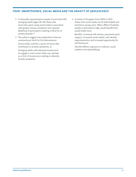# FOUR: SMARTPHONES, SOCIAL MEDIA AND THE ANXIETY OF ADOLESCENCE

- � A nationally representative sample of more than 550 emerging adults (aged 18–22) shows that more time spent using social media is associated with greater anxiety symptoms and a greater likelihood of participants meeting criteria for an anxiety disorder.<sup>46</sup>
- The authors suggest two explanations that are commonly put forth for this phenomenon:

Social media could be a source of stress that contributes to anxiety symptoms; or

Emerging adults with elevated anxiety tend to engage in more social media use, perhaps as a form of reassurance-seeking to alleviate anxiety symptoms.

■ A review of 43 papers from 2003 to 2013 shows that social media can be both helpful and harmful to young users. When offline friendship quality is perceived as high, youth benefit from social media more.

Benefits: increased self-esteem, perceived social support, increased social capital, safe identity experimentation and increased opportunity for self-disclosure.

Harmful effects: exposure to violence, social isolation and cyberbullying.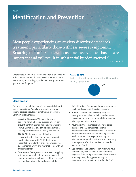# FIVE Identification and Prevention

Most people experiencing an anxiety disorder do not seek treatment, particularly those with less severe symptoms… Ensuring that mild/moderate cases access evidence-based care is important and will result in substantial burden averted.<sup>47</sup>

— Baxter et al.

Unfortunately, anxiety disorders are often overlooked. As little as 1% of youth with anxiety seek treatment in the year their symptoms begin, and most anxiety symptoms go untreated for years.48

#### *Access to care*

Just 1% of youth seek treatment at the onset of anxiety symptoms



## **Identification**

The first step in helping youth is to accurately identify anxiety symptoms. Anxiety is often mistaken for other disorders, resulting in ineffective treatment. Common misdiagnoses:

- **Examing Disorders:** When a child starts doubting her abilities in a subject, anxiety can prevent her from learning or showing what she knows. Sometimes this can be mistaken for a learning disorder when it's really just anxiety.
- **ADHD:** Children who have difficulty concentrating in school but are not hyperactive may be diagnosed with ADHD-Inattentive Presentation, while they are actually distracted by the internal worry and fear that come with an anxiety disorder.
- **Depression:** Teenagers who have been struggling with untreated anxiety for as long as a decade have accumulated impairment — things they can't do — and are often unhappy because of their

limited lifestyle. That unhappiness, or dysphoria, can be confused with clinical depression.

- **Autism:** Children who have very early social anxiety, which can lead to behavioral inhibition, selective mutism and poor social skills, may be misdiagnosed with autism.
- **Psychosis:** Older teenagers who have panic disorder or PTSD sometimes experience depersonalization or derealization — a sense of detachment from the self, or a feeling that the world is unreal. These symptoms may be misunderstood as a form of psychosis, resulting in a diagnosis of schizophrenia or some other psychotic disorder.
- Oppositional Defiant Disorder: Kids who have acute anxiety may lash out when something triggers a fight-or-flight response. If the anxiety is undiagnosed, the aggression may be interpreted as a behavioral disorder like ODD.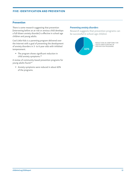# FIVE: IDENTIFICATION AND PREVENTION

# Prevention

There is some research suggesting that prevention (intervening before an at-risk or anxious child develops a full-blown anxiety disorder) is effective in school-age children and young adults.

Cool Little Kids is a parenting program delivered over the Internet with a goal of preventing the development of anxiety disorders in 3- to 6-year-olds with inhibited temperament.

■ The program shows significant reduction in child anxiety symptoms.49

A review of community-based prevention programs for young adults found:<sup>50</sup>

� Anxiety symptoms were reduced in about 60% of the programs.

#### *Preventing anxiety disorders*

Research suggests that prevention programs can be successful in school-age children

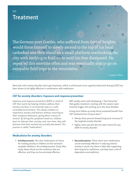# Treatment

SIX

The German poet Goethe, who suffered from fear of heights, would force himself to slowly ascend to the top of his local cathedral and then stand on a small platform overlooking the city with nothing to hold on to until his fear dissipated. He repeated this exercise often and was eventually able to go on enjoyable field trips to the mountains.

— Joseph LeDoux

Most kids with anxiety disorders don't get treatment, which is unfortunate since cognitive behavioral therapy (CBT) has been shown to be highly effective in combination with medication.

#### CBT for anxiety disorders: Exposure and response prevention

Exposure and response prevention (ERP) is a kind of CBT that works by helping children address their anxiety and fears in incremental steps in a safe, controlled environment. This allows children to experience anxiety and distress without resorting to their avoidance behaviors, giving them a sense of control. By facing the symptoms head-on, children learn to tolerate their anxiety, and, over time, they will discover that their anxiety has actually decreased. This process is called "habituation."

ERP usually starts with developing a "fear hierarchy" that guides treatment, starting with the easiest, least stressful trigger and working up to the most dreaded.

A long-term follow-up study found sustained benefit from CBT treatment 8 to 13 years later:<sup>51</sup>

- � Ninety-three percent showed long-term recovery of the targeted anxiety disorder.
- **Eighty-seven percent did not meet criteria for any** DSM-IV anxiety disorder.

#### Medications for anxiety disorders

- **Antidepressants:** The clear medications of choice for treating anxiety in children are the serotonin reuptake inhibitors, the antidepressants. Study after study shows those are the medicines that are effective, and they can be extremely effective.
- **Benzodiazepines:** These short-term medications can be extremely effective in reducing intense anxiety in youth, but there is little data supporting their long-term usefulness, and they have a risk of dependence and addiction.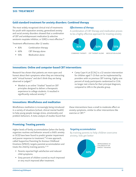## SIX: TREATMENT

# Gold standard treatment for anxiety disorders: Combined therapy

The most widely recognized clinical trial of treatments for youth with separation anxiety, generalized anxiety and social anxiety disorders showed that a combination of CBT and antidepressant medication (a selective serotonin reuptake inhibitor, or SSRI) is most effective.<sup>52</sup>

Treatment effectiveness after 12 weeks:

- 81% Combination therapy
- 60% CBT therapy alone
- 55% Medication alone

#### Effectiveness of therapy

A combination of CBT therapy and medication proves to be a highly effective approach for treating anxiety



COMBINED THERAPY CBT THERAPY ALONE MEDICATION ALONE

#### Innovations: Online and computer-based CBT interventions

Research has shown that patients are more open and honest about their symptoms when they are interacting with "virtual humans" and don't think they are being observed or judged.<sup>53</sup>

- Woebot is an online "chatbot" based on CBT principles designed to deliver a therapeutic experience to college students. It resulted in significantly reduced anxiety.<sup>54</sup>
- Camp Cope A Lot (CCAL) is a 12-session intervention for children aged 7–13 that can be implemented by providers with no previous CBT training. Eighty-one percent of study participants randomized to CCAL no longer met criteria for their principal diagnosis, compared to 14% in the placebo group.

## Innovations: Mindfulness and meditation

Mindfulness meditation is increasingly being introduced in a variety of situations (school, clinical mental health) to help young people manage stress, emotionality and problem behaviors. A meta-analysis of studies found that these interventions have a small to moderate effect on anxiety symptoms, similar to other interventions like exercise or CBT.<sup>55</sup>

#### Promising: Treating parents

Higher levels of family accommodation (when the family organizes routines and behavior around a child's anxiety or OCD) have been found to predict greater impairment and poorer response to treatment.<sup>56</sup> A new approach, called Supportive Parenting for Anxious Childhood Emotions (SPACE), targets parental accommodation and treats the child by training parents.<sup>57, 58</sup>

- � Parents reported high satisfaction and reduced child symptoms.
- � Sixty percent of children scored as much improved or very much improved after treatment.

#### *Targeting accommodation*

By training parents to help children overcome anxiety, kids get better

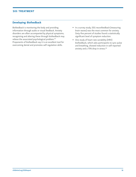# SIX: TREATMENT

# Developing: Biofeedback

Biofeedback is monitoring the body and providing information through audio or visual feedback. Anxiety disorders are often accompanied by physical symptoms; recognizing and altering these through biofeedback may relieve the associated psychological problem.<sup>59</sup> Proponents of biofeedback say it is an excellent tool for overcoming denial and promotes self-regulation skills.

- In a survey study, EEG neurofeedback (measuring brain waves) was the most common for anxiety. Sixty-five percent of studies found a statistically significant level of symptom reduction.
- One study of heart rate variability (HRV) biofeedback, which asks participants to sync pulse and breathing, showed reduction in self-reported anxiety and a 75% drop in stress.<sup>60</sup>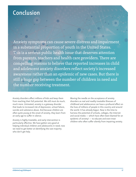# Conclusion

Anxiety symptoms can cause severe distress and impairment in a substantial proportion of youth in the United States. This is a serious public health issue that deserves attention from parents, teachers and health care providers. There are compelling reasons to believe that reported increases in child and adolescent anxiety disorders reflect society's increased awareness rather than an epidemic of new cases. But there is still a huge gap between the number of children in need and the number receiving treatment.

Anxiety disorders affect millions of kids and keep them from reaching their full potential. We still must do much, much more. Untreated, anxiety is a gateway disorder that leads to increased risk of depression, school failure, suicide and substance abuse. And because children are often quite young at the onset of anxiety, they learn from an early age to suffer in silence.

Anxiety is highly treatable, and early intervention is particularly effective. We have gotten very good at helping individual children and adolescents in need; now we need to get better at identifying the vast majority who don't get help.

Moving the needle on the acceptance of anxiety disorders as real and readily treatable illnesses of childhood and adolescence can have a profound effect on the lives of millions of people in this country and around the world. It has already begun. Now is the time to harness the potential of schools, colleges, the Internet and social media — which have often been blamed for an epidemic of anxiety! — to educate and even treat children who often suffer silently from impairing anxiety.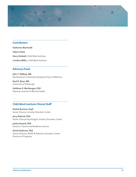

# **Contributors**

Katherine Martinelli Yakira Cohen Harry Kimball, Child Mind Institute Caroline Miller, Child Mind Institute

# Advisory Panel

John T. Walkup, MD Northwestern University Feinberg School of Medicine

Neal D. Ryan, MD University of Pittsburgh

Kathleen R. Merikangas, PhD National Institute of Mental Health

# Child Mind Institute Clinical Staff

Rachel Busman, PsyD Senior Director, Anxiety Disorders Center

Jerry Bubrick, PhD Senior Clinical Psychologist, Anxiety Disorders Center

Jamie Howard, PhD Director, Trauma and Resilience Service

David Anderson, PhD Senior Director, ADHD & Behavior Disorders Center Director of Programs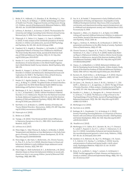#### **SOURCES**

- 1. Bitsko, R. H., Holbrook, J. R., Ghandour, R. M., Blumberg, S. J., Visser, S. N., Perou, R., & Walkup, J. T. (2018). Epidemiology and Impact of Health Care Provider–Diagnosed Anxiety and Depression Among U.S. Children. *Journal of Developmental & Behavioral Pediatrics,* 39(5), 395-403. doi: 10.1097/DBP.0000000000000571
- 2. LeViness, P., Bershad, C., & Gorman, K. (2017). The Association for University and College Counseling Center Directors Annual Survey. Retrieved July 11, 2018, from: https://www.aucccd.org/public
- 3. Polanczyk, G. V., Salum, G. A., Sugaya, L. S., Caye, A., & Rohde, L. A. (2015). A meta‐analysis of the worldwide prevalence of mental disorders in children and adolescents. *Journal of Child Psychology and Psychiatry,* 56, 345–365. doi:10.1111/jcpp.12381
- 4. Copeland, W. E., Angold, A., Shanahan, L., & Costello, E. J. (2014). Longitudinal Patterns of Anxiety From Childhood to Adulthood: The Great Smoky Mountains Study. *Journal of the American Academy of Child and Adolescent Psychiatry,* 53(1), 21–33. http://doi. org/10.1016/j.jaac.2013.09.017
- 5. Kessler, R. C. et al. (2007). Lifetime prevalence and age-of-onset distributions of mental disorders in the World Health Organization's World Mental Health Survey Initiative. *World Psychiatry,* 6(3), 168–176.
- 6. Beesdo, K., Knappe, S., & Pine, D. S. (2009). Anxiety and Anxiety Disorders in Children and Adolescents: Developmental Issues and Implications for DSM-V. The Psychiatric Clinics of North America, 32(3), 483–524. doi: 10.1016/j.psc.2009.06.002
- 7. Kessler, R. C., Aguilar-Gaxiola, S., Alonso, J., Chatterji, S., Lee, S., Ormel, J., & Wang, P. S. (2009). The global burden of mental disorders: An update from the WHO World Mental Health (WMH) Surveys. *Epidemiology and Psychiatric Sciences,* 18(1), 23–33.
- 8. Merikangas, K. R., He, J., Burstein, M., Swanson, S. A., Avenevoli, S., Cui, L., & Swendsen, J. (2010). Lifetime Prevalence of Mental Disorders in U.S. Adolescents: Results from the National Comorbidity Study-Adolescent Supplement (NCS-A). *Journal of the American Academy of Child and Adolescent Psychiatry,* 49(10), 980–989. http:// doi.org/10.1016/j.jaac.2010.05.017
- 9. Norrholm, S. D., & Ressler, K. J. (2009). Genetics of Anxiety and Trauma-Related Disorders. Neuroscience, 164(1), 272–287. http://doi. org/10.1016/j.neuroscience.2009.06.036
- 10. Polanczyk et al. (2015).
- 11. Bitsko et al. (2018).
- 12. Twenge, J. M. (2015). Time Period and Birth Cohort Differences in Depressive Symptoms in the U.S., 1982–2013. *Social Indicators Research,* 121(2), 437.
- 13. LeViness et al. (2017).
- 14. Pérez-Edgar, K., Taber-Thomas, B., Auday, E., & Morales, S. (2014). Temperament and Attention as Core Mechanisms in the Early Emergence of Anxiety. *Contributions to Human Development*, 26, 42–56. http://doi.org/10.1159/000354350
- 15. Perez-Edgar, K., Bar-Haim, Y., McDermott, J. M., Chronis-Tuscano, A., Pine, D. S., & Fox, N. A. (2010). Attention biases to threat and behavioral inhibition in early childhood shape adolescent social withdrawal. *Emotion,* 10(3), 349–357.
- 16. Perez-Edgar, K., Reeb-Sutherland, B. C., & McDermott, J. M. (2011). Attention biases to threat link behavioral inhibition to social withdrawal over time in very young children. *Journal of Abnormal Child Psychology,* 39(6), 885–895.
- 17. Fox, N. A., & Frenkel, T. Temperament in Early Childhood and the Development of Anxiety and Depression. *Encyclopedia on Early Childhood Development* [online]. http://www.child-encyclopedia. com/anxiety-and-depression/according-experts/temperament-early-childhood-and-development-anxiety-and. Published March 2013. Accessed July 12, 2018.
- 18. Hayward, C., Killen, J. D., Kraemer, H. C., & Taylor, C.B. (1998). Linking self-reported childhood behavioral inhibition to adolescent social phobia. *Journal of the American Academy of Child and Adolescent Psychiatry,* 37(12), 1308–16.
- 19. Kagan, J., Snidman, N., McManis, M., & Woodward, S. (2001). Temperamental contributions to the affect family of anxiety. *Psychiatric*  Clinics of North America, 24(4), 677–88.
- 20. Chronis-Tuscano, A., Degnan, K. A., Pine, D. S., Perez-Edgar, K., Henderson, H. A., Diaz, Y., & Fox, N. A. (2009). Stable Early Maternal Report of Behavioral Inhibition Predicts Lifetime Social Anxiety Disorder in Adolescence. *Journal of the American Academy of Child and Adolescent Psychiatry,* 48(9), 928–935. http://doi.org/10.1097/ CHI.0b013e3181ae09df
- 21. Clauss, J. A., & Blackford, J. U. (2012). Behavioral Inhibition and Risk for Developing Social Anxiety Disorder: A Meta-Analytic Study. *Journal of the American Academy of Child and Adolescent Psychiatry,* 51(10), 1066–1075.e1. http://doi.org/10.1016/j.jaac.2012.08.002
- 22. Burstein, M., Ameli-Grillon, L., & Merikangas, K. R. (2011). Shyness Versus Social Phobia in U.S. Youth. *Pediatrics,* 128(5), 917–925. http://doi.org/10.1542/peds.2011-1434
- 23. De Lijster, J. M., Dierckx, B., Utens, E. M. W. J., Verhulst, F. C., Zieldorff, C., Dieleman, G. C., & Legerstee, J. S. (2017). The Age of Onset of Anxiety Disorders: A Meta-analysis. *Canadian Journal of Psychiatry,* 62(4), 237–246. http://doi.org/10.1177/0706743716640757
- 24. Rosellini, A. J., Rutter, L. A., Bourgeois, M. L., Emmert-Aronson, B. O., & Brown, T. A. (2013). The Relevance of Age of Onset to the Psychopathology of Social Phobia. *Journal of Psychopathology and Behavioral Assessment,* 35(3), 356–365. http://doi.org/10.1007/ s10862-013-9338-5
- 25. Merikangas et al. (2010).
- 26. Norrholm et al. (2009).
- 27. Budinger, M. C., Drazdowski, T. K., & Ginsburg, G. S. (2013). Anxiety-Promoting Parenting Behaviors: A Comparison of Anxious Parents with and without Social Anxiety Disorder. *Child Psychiatry and Human Development,* 44(3), 412–418. http://doi.org/10.1007/ s10578-012-0335-9
- 28. Rosellini et al. (2013).
- 29. Merikangas, K. R., Calkins, M. E., Burstein, M., He, J. P., Chiavacci, R., Lateef, T., Ruparel, K., Gur, R. C., Lehner, T., Hakonarson, H., & Gur, R. E. (2015). Comorbidity of physical and mental disorders in the neurodevelopmental genomics cohort study. *Pediatrics,* 135(4), 927–38. doi: 10.1542/peds.2014-1444
- 30. Goodwin, R. D., Robinson, M., Sly, P. D., McKeague, I. W., Susser, E. S., Zubrick, S. R., Stanley, F. J., & Mattes, E. (2013). Severity and persistence of asthma and mental health: a birth cohort study. *Psychological Medicine,* 43(6):1313–22. doi: 10.1017/ S0033291712001754
- 31. Brew, B. K., Lundholm, C., Gong, T., Larsson, H., & Almqvist, C. (2018). Familial aggregation of atopic diseases and depression or anxiety in children. *Clinical and Experimental Allergy,* 48(6), 703–711. doi: 10.1111/cea.13127